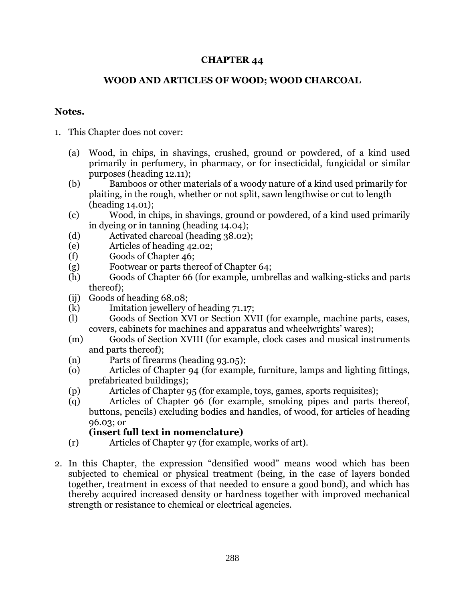### **CHAPTER 44**

#### **WOOD AND ARTICLES OF WOOD; WOOD CHARCOAL**

#### **Notes.**

- 1. This Chapter does not cover:
	- (a) Wood, in chips, in shavings, crushed, ground or powdered, of a kind used primarily in perfumery, in pharmacy, or for insecticidal, fungicidal or similar purposes (heading 12.11);
	- (b) Bamboos or other materials of a woody nature of a kind used primarily for plaiting, in the rough, whether or not split, sawn lengthwise or cut to length (heading 14.01);
	- (c) Wood, in chips, in shavings, ground or powdered, of a kind used primarily in dyeing or in tanning (heading 14.04);
	- (d) Activated charcoal (heading 38.02);
	- (e) Articles of heading 42.02;
	- (f) Goods of Chapter 46;
	- (g) Footwear or parts thereof of Chapter 64;
	- (h) Goods of Chapter 66 (for example, umbrellas and walking-sticks and parts thereof);
	- (ij) Goods of heading 68.08;
	- (k) Imitation jewellery of heading 71.17;
	- (l) Goods of Section XVI or Section XVII (for example, machine parts, cases, covers, cabinets for machines and apparatus and wheelwrights' wares);
	- (m) Goods of Section XVIII (for example, clock cases and musical instruments and parts thereof);
	- (n) Parts of firearms (heading 93.05);
	- (o) Articles of Chapter 94 (for example, furniture, lamps and lighting fittings, prefabricated buildings);
	- (p) Articles of Chapter 95 (for example, toys, games, sports requisites);
	- (q) Articles of Chapter 96 (for example, smoking pipes and parts thereof, buttons, pencils) excluding bodies and handles, of wood, for articles of heading 96.03; or

## **(insert full text in nomenclature)**

- (r) Articles of Chapter 97 (for example, works of art).
- 2. In this Chapter, the expression "densified wood" means wood which has been subjected to chemical or physical treatment (being, in the case of layers bonded together, treatment in excess of that needed to ensure a good bond), and which has thereby acquired increased density or hardness together with improved mechanical strength or resistance to chemical or electrical agencies.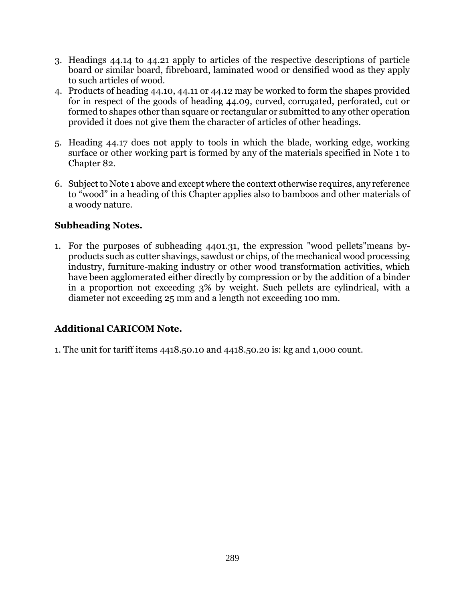- 3. Headings 44.14 to 44.21 apply to articles of the respective descriptions of particle board or similar board, fibreboard, laminated wood or densified wood as they apply to such articles of wood.
- 4. Products of heading 44.10, 44.11 or 44.12 may be worked to form the shapes provided for in respect of the goods of heading 44.09, curved, corrugated, perforated, cut or formed to shapes other than square or rectangular or submitted to any other operation provided it does not give them the character of articles of other headings.
- 5. Heading 44.17 does not apply to tools in which the blade, working edge, working surface or other working part is formed by any of the materials specified in Note 1 to Chapter 82.
- 6. Subject to Note 1 above and except where the context otherwise requires, any reference to "wood" in a heading of this Chapter applies also to bamboos and other materials of a woody nature.

## **Subheading Notes.**

1. For the purposes of subheading 4401.31, the expression "wood pellets"means byproducts such as cutter shavings, sawdust or chips, of the mechanical wood processing industry, furniture-making industry or other wood transformation activities, which have been agglomerated either directly by compression or by the addition of a binder in a proportion not exceeding 3% by weight. Such pellets are cylindrical, with a diameter not exceeding 25 mm and a length not exceeding 100 mm.

# **Additional CARICOM Note.**

1. The unit for tariff items 4418.50.10 and 4418.50.20 is: kg and 1,000 count.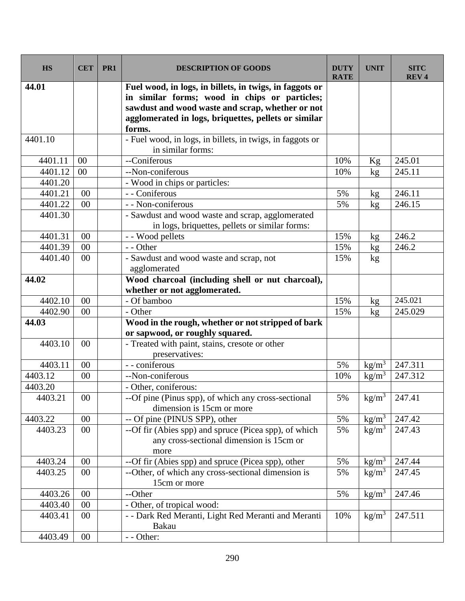| <b>HS</b> | <b>CET</b>      | PR1 | <b>DESCRIPTION OF GOODS</b>                                                    | <b>DUTY</b><br><b>RATE</b> | <b>UNIT</b>                    | <b>SITC</b><br>REV <sub>4</sub> |
|-----------|-----------------|-----|--------------------------------------------------------------------------------|----------------------------|--------------------------------|---------------------------------|
| 44.01     |                 |     | Fuel wood, in logs, in billets, in twigs, in faggots or                        |                            |                                |                                 |
|           |                 |     | in similar forms; wood in chips or particles;                                  |                            |                                |                                 |
|           |                 |     | sawdust and wood waste and scrap, whether or not                               |                            |                                |                                 |
|           |                 |     | agglomerated in logs, briquettes, pellets or similar                           |                            |                                |                                 |
|           |                 |     | forms.                                                                         |                            |                                |                                 |
| 4401.10   |                 |     | - Fuel wood, in logs, in billets, in twigs, in faggots or<br>in similar forms: |                            |                                |                                 |
| 4401.11   | 00              |     | --Coniferous                                                                   | 10%                        | Kg                             | 245.01                          |
| 4401.12   | 00              |     | --Non-coniferous                                                               | 10%                        | kg                             | 245.11                          |
| 4401.20   |                 |     | - Wood in chips or particles:                                                  |                            |                                |                                 |
| 4401.21   | 00              |     | - - Coniferous                                                                 | 5%                         | kg                             | 246.11                          |
| 4401.22   | 00              |     | - - Non-coniferous                                                             | 5%                         | kg                             | 246.15                          |
| 4401.30   |                 |     | - Sawdust and wood waste and scrap, agglomerated                               |                            |                                |                                 |
|           |                 |     | in logs, briquettes, pellets or similar forms:                                 |                            |                                |                                 |
| 4401.31   | 00              |     | - - Wood pellets                                                               | 15%                        | kg                             | 246.2                           |
| 4401.39   | 00              |     | - - Other                                                                      | 15%                        | kg                             | 246.2                           |
| 4401.40   | 00              |     | - Sawdust and wood waste and scrap, not                                        | 15%                        | kg                             |                                 |
|           |                 |     | agglomerated                                                                   |                            |                                |                                 |
| 44.02     |                 |     | Wood charcoal (including shell or nut charcoal),                               |                            |                                |                                 |
|           |                 |     | whether or not agglomerated.                                                   |                            |                                |                                 |
| 4402.10   | 00              |     | - Of bamboo                                                                    | 15%                        | kg                             | 245.021                         |
| 4402.90   | 00              |     | - Other                                                                        | 15%                        | kg                             | 245.029                         |
| 44.03     |                 |     | Wood in the rough, whether or not stripped of bark                             |                            |                                |                                 |
|           |                 |     | or sapwood, or roughly squared.                                                |                            |                                |                                 |
| 4403.10   | 00              |     | - Treated with paint, stains, cresote or other                                 |                            |                                |                                 |
|           |                 |     | preservatives:                                                                 |                            |                                |                                 |
| 4403.11   | 00              |     | - - coniferous                                                                 | 5%                         | $\frac{\text{kg}}{\text{m}^3}$ | 247.311                         |
| 4403.12   | 00              |     | --Non-coniferous                                                               | 10%                        | $\text{kg/m}^3$                | 247.312                         |
| 4403.20   |                 |     | - Other, coniferous:                                                           |                            |                                |                                 |
| 4403.21   | $\overline{00}$ |     | --Of pine (Pinus spp), of which any cross-sectional                            | 5%                         |                                | kg/m <sup>3</sup> 247.41        |
|           |                 |     | dimension is 15cm or more                                                      |                            |                                |                                 |
| 4403.22   | 00              |     | -- Of pine (PINUS SPP), other                                                  | 5%                         | $\text{kg/m}^3$                | 247.42                          |
| 4403.23   | $00\,$          |     | --Of fir (Abies spp) and spruce (Picea spp), of which                          | 5%                         | kg/m <sup>3</sup>              | 247.43                          |
|           |                 |     | any cross-sectional dimension is 15cm or                                       |                            |                                |                                 |
|           |                 |     | more                                                                           |                            |                                |                                 |
| 4403.24   | $00\,$          |     | --Of fir (Abies spp) and spruce (Picea spp), other                             | 5%                         | $\frac{\text{kg}}{\text{m}^3}$ | 247.44                          |
| 4403.25   | 00              |     | --Other, of which any cross-sectional dimension is                             | 5%                         | $\text{kg/m}^3$                | 247.45                          |
|           |                 |     | 15cm or more                                                                   |                            |                                |                                 |
| 4403.26   | 00              |     | --Other                                                                        | 5%                         | $\text{kg/m}^3$                | 247.46                          |
| 4403.40   | $00\,$          |     | - Other, of tropical wood:                                                     |                            |                                |                                 |
| 4403.41   | $00\,$          |     | - - Dark Red Meranti, Light Red Meranti and Meranti<br>Bakau                   | 10%                        | $\text{kg/m}^3$                | 247.511                         |
| 4403.49   | $00\,$          |     | - - Other:                                                                     |                            |                                |                                 |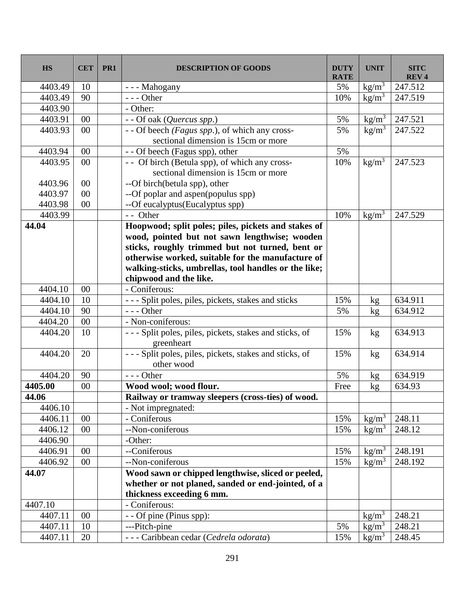| <b>HS</b> | <b>CET</b> | PR1 | <b>DESCRIPTION OF GOODS</b>                                          | <b>DUTY</b><br><b>RATE</b> | <b>UNIT</b>     | <b>SITC</b><br><b>REV4</b> |
|-----------|------------|-----|----------------------------------------------------------------------|----------------------------|-----------------|----------------------------|
| 4403.49   | 10         |     | --- Mahogany                                                         | 5%                         | $\text{kg/m}^3$ | 247.512                    |
| 4403.49   | 90         |     | $--- Other$                                                          | 10%                        | $\text{kg/m}^3$ | 247.519                    |
| 4403.90   |            |     | - Other:                                                             |                            |                 |                            |
| 4403.91   | $00\,$     |     | - - Of oak (Quercus spp.)                                            | 5%                         | $\text{kg/m}^3$ | 247.521                    |
| 4403.93   | 00         |     | - - Of beech (Fagus spp.), of which any cross-                       | 5%                         | $\text{kg/m}^3$ | 247.522                    |
|           |            |     | sectional dimension is 15cm or more                                  |                            |                 |                            |
| 4403.94   | 00         |     | - - Of beech (Fagus spp), other                                      | 5%                         |                 |                            |
| 4403.95   | 00         |     | - - Of birch (Betula spp), of which any cross-                       | 10%                        | $\text{kg/m}^3$ | 247.523                    |
|           |            |     | sectional dimension is 15cm or more                                  |                            |                 |                            |
| 4403.96   | $00\,$     |     | --Of birch(betula spp), other                                        |                            |                 |                            |
| 4403.97   | 00         |     | --Of poplar and aspen(populus spp)                                   |                            |                 |                            |
| 4403.98   | 00         |     | --Of eucalyptus(Eucalyptus spp)                                      |                            |                 |                            |
| 4403.99   |            |     | - - Other                                                            | 10%                        | $\text{kg/m}^3$ | 247.529                    |
| 44.04     |            |     | Hoopwood; split poles; piles, pickets and stakes of                  |                            |                 |                            |
|           |            |     | wood, pointed but not sawn lengthwise; wooden                        |                            |                 |                            |
|           |            |     | sticks, roughly trimmed but not turned, bent or                      |                            |                 |                            |
|           |            |     | otherwise worked, suitable for the manufacture of                    |                            |                 |                            |
|           |            |     | walking-sticks, umbrellas, tool handles or the like;                 |                            |                 |                            |
|           |            |     | chipwood and the like.                                               |                            |                 |                            |
| 4404.10   | 00         |     | - Coniferous:                                                        |                            |                 |                            |
| 4404.10   | 10         |     | --- Split poles, piles, pickets, stakes and sticks                   | 15%                        | kg              | 634.911                    |
| 4404.10   | 90         |     | $--- Other$                                                          | 5%                         | kg              | 634.912                    |
| 4404.20   | 00         |     | - Non-coniferous:                                                    |                            |                 |                            |
| 4404.20   | 10         |     | --- Split poles, piles, pickets, stakes and sticks, of<br>greenheart | 15%                        | kg              | 634.913                    |
| 4404.20   | 20         |     | --- Split poles, piles, pickets, stakes and sticks, of<br>other wood | 15%                        | kg              | 634.914                    |
| 4404.20   | 90         |     | $--$ Other                                                           | 5%                         | kg              | 634.919                    |
| 4405.00   | $00\,$     |     | Wood wool; wood flour.                                               | Free                       | kg              | 634.93                     |
| 44.06     |            |     | Railway or tramway sleepers (cross-ties) of wood.                    |                            |                 |                            |
| 4406.10   |            |     | - Not impregnated:                                                   |                            |                 |                            |
| 4406.11   | 00         |     | - Coniferous                                                         | 15%                        | $\text{kg/m}^3$ | 248.11                     |
| 4406.12   | $00\,$     |     | --Non-coniferous                                                     | 15%                        | $\text{kg/m}^3$ | 248.12                     |
| 4406.90   |            |     | -Other:                                                              |                            |                 |                            |
| 4406.91   | $00\,$     |     | --Coniferous                                                         | 15%                        | $\text{kg/m}^3$ | 248.191                    |
| 4406.92   | $00\,$     |     | --Non-coniferous                                                     | 15%                        | $\text{kg/m}^3$ | 248.192                    |
| 44.07     |            |     | Wood sawn or chipped lengthwise, sliced or peeled,                   |                            |                 |                            |
|           |            |     | whether or not planed, sanded or end-jointed, of a                   |                            |                 |                            |
|           |            |     | thickness exceeding 6 mm.                                            |                            |                 |                            |
| 4407.10   |            |     | - Coniferous:                                                        |                            |                 |                            |
| 4407.11   | $00\,$     |     | - - Of pine (Pinus spp):                                             |                            | $\text{kg/m}^3$ | 248.21                     |
| 4407.11   | 10         |     | ---Pitch-pine                                                        | 5%                         | $\text{kg/m}^3$ | 248.21                     |
| 4407.11   | 20         |     | --- Caribbean cedar (Cedrela odorata)                                | 15%                        | $\text{kg/m}^3$ | 248.45                     |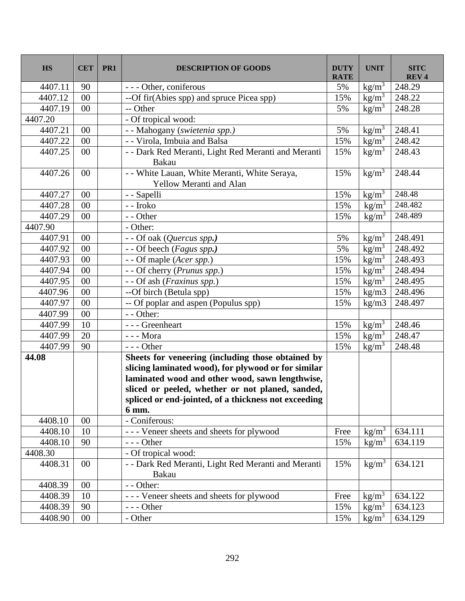| <b>HS</b> | <b>CET</b> | PR1 | <b>DESCRIPTION OF GOODS</b>                                                     | <b>DUTY</b><br><b>RATE</b> | <b>UNIT</b>                    | <b>SITC</b><br><b>REV4</b> |
|-----------|------------|-----|---------------------------------------------------------------------------------|----------------------------|--------------------------------|----------------------------|
| 4407.11   | 90         |     | --- Other, coniferous                                                           | 5%                         | $\frac{\text{kg}}{\text{m}^3}$ | 248.29                     |
| 4407.12   | 00         |     | --Of fir(Abies spp) and spruce Picea spp)                                       | 15%                        | $\text{kg/m}^3$                | 248.22                     |
| 4407.19   | $00\,$     |     | -- Other                                                                        | 5%                         | $\frac{\text{kg}}{\text{m}^3}$ | 248.28                     |
| 4407.20   |            |     | - Of tropical wood:                                                             |                            |                                |                            |
| 4407.21   | $00\,$     |     | - - Mahogany (swietenia spp.)                                                   | 5%                         | $\text{kg/m}^3$                | 248.41                     |
| 4407.22   | 00         |     | - - Virola, Imbuia and Balsa                                                    | 15%                        | $\text{kg/m}^3$                | 248.42                     |
| 4407.25   | $00\,$     |     | - - Dark Red Meranti, Light Red Meranti and Meranti<br>Bakau                    | 15%                        | kg/m <sup>3</sup>              | 248.43                     |
| 4407.26   | $00\,$     |     | - - White Lauan, White Meranti, White Seraya,<br><b>Yellow Meranti and Alan</b> | 15%                        | $\text{kg/m}^3$                | 248.44                     |
| 4407.27   | $00\,$     |     | - - Sapelli                                                                     | 15%                        | $\text{kg/m}^3$                | 248.48                     |
| 4407.28   | 00         |     | - - Iroko                                                                       | 15%                        | $\text{kg/m}^3$                | 248.482                    |
| 4407.29   | 00         |     | - - Other                                                                       | 15%                        | $\text{kg/m}^3$                | 248.489                    |
| 4407.90   |            |     | - Other:                                                                        |                            |                                |                            |
| 4407.91   | 00         |     | - - Of oak (Quercus spp.)                                                       | 5%                         | $\text{kg/m}^3$                | 248.491                    |
| 4407.92   | 00         |     | - - Of beech (Fagus spp.)                                                       | 5%                         | $\text{kg/m}^3$                | 248.492                    |
| 4407.93   | $00\,$     |     | - - Of maple ( <i>Acer spp.</i> )                                               | 15%                        | $\text{kg/m}^3$                | 248.493                    |
| 4407.94   | $00\,$     |     | - - Of cherry (Prunus spp.)                                                     | 15%                        | $\text{kg/m}^3$                | 248.494                    |
| 4407.95   | $00\,$     |     | - - Of ash (Fraxinus spp.)                                                      | 15%                        | $kg/m^3$                       | 248.495                    |
| 4407.96   | $00\,$     |     | --Of birch (Betula spp)                                                         | 15%                        | kg/m3                          | 248.496                    |
| 4407.97   | $00\,$     |     | -- Of poplar and aspen (Populus spp)                                            | 15%                        | kg/m3                          | 248.497                    |
| 4407.99   | 00         |     | - - Other:                                                                      |                            |                                |                            |
| 4407.99   | 10         |     | --- Greenheart                                                                  | 15%                        | $\text{kg/m}^3$                | 248.46                     |
| 4407.99   | 20         |     | $\overline{-}$ - Mora                                                           | 15%                        | $\text{kg/m}^3$                | 248.47                     |
| 4407.99   | 90         |     | $--$ Other                                                                      | 15%                        | $\text{kg/m}^3$                | 248.48                     |
| 44.08     |            |     | Sheets for veneering (including those obtained by                               |                            |                                |                            |
|           |            |     | slicing laminated wood), for plywood or for similar                             |                            |                                |                            |
|           |            |     | laminated wood and other wood, sawn lengthwise,                                 |                            |                                |                            |
|           |            |     | sliced or peeled, whether or not planed, sanded,                                |                            |                                |                            |
|           |            |     | spliced or end-jointed, of a thickness not exceeding                            |                            |                                |                            |
|           |            |     | 6 mm.                                                                           |                            |                                |                            |
| 4408.10   | $00\,$     |     | - Coniferous:                                                                   |                            |                                |                            |
| 4408.10   | 10         |     | --- Veneer sheets and sheets for plywood                                        | Free                       | $\text{kg/m}^3$                | 634.111                    |
| 4408.10   | 90         |     | $--$ Other                                                                      | 15%                        | $\text{kg/m}^3$                | 634.119                    |
| 4408.30   |            |     | - Of tropical wood:                                                             |                            |                                |                            |
| 4408.31   | $00\,$     |     | - - Dark Red Meranti, Light Red Meranti and Meranti<br>Bakau                    | 15%                        | $\text{kg/m}^3$                | 634.121                    |
| 4408.39   | $00\,$     |     | - - Other:                                                                      |                            |                                |                            |
| 4408.39   | 10         |     | --- Veneer sheets and sheets for plywood                                        | Free                       | kg/m <sup>3</sup>              | 634.122                    |
| 4408.39   | 90         |     | $--$ Other                                                                      | 15%                        | $\text{kg/m}^3$                | 634.123                    |
| 4408.90   | $00\,$     |     | - Other                                                                         | 15%                        | $\text{kg/m}^3$                | 634.129                    |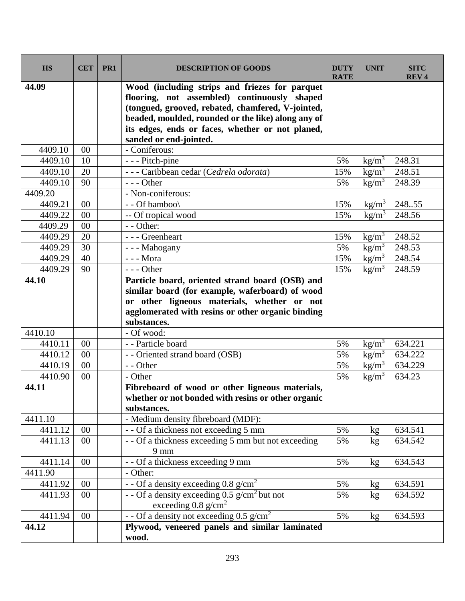| <b>HS</b> | <b>CET</b> | PR <sub>1</sub> | <b>DESCRIPTION OF GOODS</b>                                                                                                                                                                                                                                                             | <b>DUTY</b><br><b>RATE</b> | <b>UNIT</b>                           | <b>SITC</b><br><b>REV4</b> |
|-----------|------------|-----------------|-----------------------------------------------------------------------------------------------------------------------------------------------------------------------------------------------------------------------------------------------------------------------------------------|----------------------------|---------------------------------------|----------------------------|
| 44.09     |            |                 | Wood (including strips and friezes for parquet<br>flooring, not assembled) continuously shaped<br>(tongued, grooved, rebated, chamfered, V-jointed,<br>beaded, moulded, rounded or the like) along any of<br>its edges, ends or faces, whether or not planed,<br>sanded or end-jointed. |                            |                                       |                            |
| 4409.10   | $00\,$     |                 | - Coniferous:                                                                                                                                                                                                                                                                           |                            |                                       |                            |
| 4409.10   | 10         |                 | - - - Pitch-pine                                                                                                                                                                                                                                                                        | 5%                         | $\frac{\text{kg}}{\text{m}^3}$        | 248.31                     |
| 4409.10   | 20         |                 | --- Caribbean cedar (Cedrela odorata)                                                                                                                                                                                                                                                   | 15%                        | $\text{kg/m}^3$                       | 248.51                     |
| 4409.10   | 90         |                 | --- Other                                                                                                                                                                                                                                                                               | 5%                         | kg/m <sup>3</sup>                     | 248.39                     |
| 4409.20   |            |                 | - Non-coniferous:                                                                                                                                                                                                                                                                       |                            |                                       |                            |
| 4409.21   | $00\,$     |                 | - - Of bamboo\                                                                                                                                                                                                                                                                          | 15%                        | $\text{kg/m}^3$                       | 248.55                     |
| 4409.22   | 00         |                 | -- Of tropical wood                                                                                                                                                                                                                                                                     | 15%                        | $\text{kg/m}^3$                       | 248.56                     |
| 4409.29   | 00         |                 | - - Other:                                                                                                                                                                                                                                                                              |                            |                                       |                            |
| 4409.29   | 20         |                 | --- Greenheart                                                                                                                                                                                                                                                                          | 15%                        | kg/m <sup>3</sup>                     | 248.52                     |
| 4409.29   | 30         |                 | --- Mahogany                                                                                                                                                                                                                                                                            | 5%                         | $\text{kg/m}^3$                       | 248.53                     |
| 4409.29   | 40         |                 | - - - Mora                                                                                                                                                                                                                                                                              | 15%                        | $\frac{\text{kg/m}^3}{\text{kg/m}^3}$ | 248.54                     |
| 4409.29   | 90         |                 | $--$ Other                                                                                                                                                                                                                                                                              | 15%                        | $\text{kg/m}^3$                       | 248.59                     |
| 44.10     |            |                 | Particle board, oriented strand board (OSB) and<br>similar board (for example, waferboard) of wood<br>or other ligneous materials, whether or not<br>agglomerated with resins or other organic binding<br>substances.                                                                   |                            |                                       |                            |
| 4410.10   |            |                 | - Of wood:                                                                                                                                                                                                                                                                              |                            |                                       |                            |
| 4410.11   | 00         |                 | - - Particle board                                                                                                                                                                                                                                                                      | 5%                         | kg/m <sup>3</sup>                     | 634.221                    |
| 4410.12   | 00         |                 | - - Oriented strand board (OSB)                                                                                                                                                                                                                                                         | 5%                         | $\text{kg/m}^3$                       | 634.222                    |
| 4410.19   | 00         |                 | - - Other                                                                                                                                                                                                                                                                               | 5%                         | $\text{kg/m}^3$                       | 634.229                    |
| 4410.90   | 00         |                 | - Other                                                                                                                                                                                                                                                                                 | 5%                         | $\text{kg/m}^3$                       | 634.23                     |
| 44.11     |            |                 | Fibreboard of wood or other ligneous materials,<br>whether or not bonded with resins or other organic<br>substances.                                                                                                                                                                    |                            |                                       |                            |
| 4411.10   |            |                 | - Medium density fibreboard (MDF):                                                                                                                                                                                                                                                      |                            |                                       |                            |
| 4411.12   | $00\,$     |                 | - - Of a thickness not exceeding 5 mm                                                                                                                                                                                                                                                   | 5%                         | kg                                    | 634.541                    |
| 4411.13   | $00\,$     |                 | - - Of a thickness exceeding 5 mm but not exceeding<br>$9 \text{ mm}$                                                                                                                                                                                                                   | 5%                         | kg                                    | 634.542                    |
| 4411.14   | $00\,$     |                 | - - Of a thickness exceeding 9 mm                                                                                                                                                                                                                                                       | 5%                         | kg                                    | 634.543                    |
| 4411.90   |            |                 | - Other:                                                                                                                                                                                                                                                                                |                            |                                       |                            |
| 4411.92   | $00\,$     |                 | - - Of a density exceeding 0.8 $g/cm^2$                                                                                                                                                                                                                                                 | 5%                         | kg                                    | 634.591                    |
| 4411.93   | $00\,$     |                 | - - Of a density exceeding $0.5$ g/cm <sup>2</sup> but not<br>exceeding $0.8 \text{ g/cm}^2$                                                                                                                                                                                            | 5%                         | kg                                    | 634.592                    |
| 4411.94   | $00\,$     |                 | - - Of a density not exceeding $0.5$ g/cm <sup>2</sup>                                                                                                                                                                                                                                  | 5%                         | kg <sub>2</sub>                       | 634.593                    |
| 44.12     |            |                 | Plywood, veneered panels and similar laminated<br>wood.                                                                                                                                                                                                                                 |                            |                                       |                            |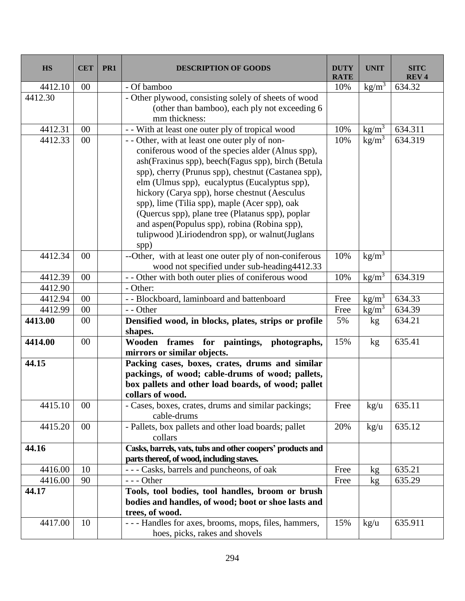| <b>HS</b> | <b>CET</b> | PR1 | <b>DESCRIPTION OF GOODS</b>                                                                             | <b>DUTY</b><br><b>RATE</b> | <b>UNIT</b>                    | <b>SITC</b><br>REV <sub>4</sub> |
|-----------|------------|-----|---------------------------------------------------------------------------------------------------------|----------------------------|--------------------------------|---------------------------------|
| 4412.10   | 00         |     | - Of bamboo                                                                                             | 10%                        | $\frac{\text{kg}}{\text{m}^3}$ | 634.32                          |
| 4412.30   |            |     | - Other plywood, consisting solely of sheets of wood                                                    |                            |                                |                                 |
|           |            |     | (other than bamboo), each ply not exceeding 6                                                           |                            |                                |                                 |
|           |            |     | mm thickness:                                                                                           |                            |                                |                                 |
| 4412.31   | 00         |     | - With at least one outer ply of tropical wood                                                          | 10%                        | $\frac{\text{kg}}{\text{m}^3}$ | 634.311                         |
| 4412.33   | 00         |     | - - Other, with at least one outer ply of non-<br>coniferous wood of the species alder (Alnus spp),     | 10%                        | $\text{kg/m}^3$                | 634.319                         |
|           |            |     | ash (Fraxinus spp), beech (Fagus spp), birch (Betula                                                    |                            |                                |                                 |
|           |            |     | spp), cherry (Prunus spp), chestnut (Castanea spp),                                                     |                            |                                |                                 |
|           |            |     | elm (Ulmus spp), eucalyptus (Eucalyptus spp),                                                           |                            |                                |                                 |
|           |            |     | hickory (Carya spp), horse chestnut (Aesculus                                                           |                            |                                |                                 |
|           |            |     | spp), lime (Tilia spp), maple (Acer spp), oak                                                           |                            |                                |                                 |
|           |            |     | (Quercus spp), plane tree (Platanus spp), poplar                                                        |                            |                                |                                 |
|           |            |     | and aspen(Populus spp), robina (Robina spp),                                                            |                            |                                |                                 |
|           |            |     | tulipwood )Liriodendron spp), or walnut(Juglans                                                         |                            |                                |                                 |
|           |            |     | spp)                                                                                                    |                            |                                |                                 |
| 4412.34   | $00\,$     |     | --Other, with at least one outer ply of non-coniferous                                                  | 10%                        | $\text{kg/m}^3$                |                                 |
|           |            |     | wood not specified under sub-heading4412.33                                                             |                            |                                |                                 |
| 4412.39   | 00         |     | - - Other with both outer plies of coniferous wood                                                      | 10%                        | $\text{kg/m}^3$                | 634.319                         |
| 4412.90   |            |     | - Other:                                                                                                |                            |                                |                                 |
| 4412.94   | 00         |     | - - Blockboard, laminboard and battenboard                                                              | Free                       | kg/m <sup>3</sup>              | 634.33                          |
| 4412.99   | 00         |     | - - Other                                                                                               | Free                       | $\text{kg/m}^3$                | 634.39                          |
| 4413.00   | $00\,$     |     | Densified wood, in blocks, plates, strips or profile<br>shapes.                                         | 5%                         | kg                             | 634.21                          |
| 4414.00   | 00         |     | frames for paintings, photographs,<br>Wooden<br>mirrors or similar objects.                             | 15%                        | kg                             | 635.41                          |
| 44.15     |            |     | Packing cases, boxes, crates, drums and similar                                                         |                            |                                |                                 |
|           |            |     | packings, of wood; cable-drums of wood; pallets,                                                        |                            |                                |                                 |
|           |            |     | box pallets and other load boards, of wood; pallet                                                      |                            |                                |                                 |
|           |            |     | collars of wood.                                                                                        |                            |                                |                                 |
| 4415.10   | $00\,$     |     | - Cases, boxes, crates, drums and similar packings;<br>cable-drums                                      | Free                       | $\text{kg/u}$                  | 635.11                          |
| 4415.20   | $00\,$     |     | - Pallets, box pallets and other load boards; pallet<br>collars                                         | 20%                        | $\text{kg/u}$                  | 635.12                          |
| 44.16     |            |     | Casks, barrels, vats, tubs and other coopers' products and<br>parts thereof, of wood, including staves. |                            |                                |                                 |
| 4416.00   | 10         |     | --- Casks, barrels and puncheons, of oak                                                                | Free                       | kg                             | 635.21                          |
| 4416.00   | 90         |     | $--$ Other                                                                                              | Free                       | kg                             | 635.29                          |
| 44.17     |            |     | Tools, tool bodies, tool handles, broom or brush                                                        |                            |                                |                                 |
|           |            |     | bodies and handles, of wood; boot or shoe lasts and                                                     |                            |                                |                                 |
|           |            |     | trees, of wood.                                                                                         |                            |                                |                                 |
| 4417.00   | 10         |     | --- Handles for axes, brooms, mops, files, hammers,                                                     | 15%                        | $\text{kg/u}$                  | 635.911                         |
|           |            |     | hoes, picks, rakes and shovels                                                                          |                            |                                |                                 |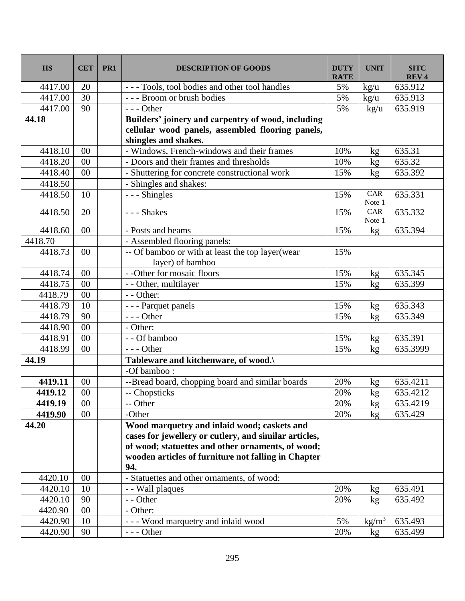| <b>HS</b> | <b>CET</b>      | PR <sub>1</sub> | <b>DESCRIPTION OF GOODS</b>                                                                                                                                                                                             | <b>DUTY</b><br><b>RATE</b> | <b>UNIT</b>     | <b>SITC</b><br><b>REV4</b> |
|-----------|-----------------|-----------------|-------------------------------------------------------------------------------------------------------------------------------------------------------------------------------------------------------------------------|----------------------------|-----------------|----------------------------|
| 4417.00   | 20              |                 | --- Tools, tool bodies and other tool handles                                                                                                                                                                           | 5%                         | kg/u            | 635.912                    |
| 4417.00   | 30              |                 | --- Broom or brush bodies                                                                                                                                                                                               | 5%                         | kg/u            | 635.913                    |
| 4417.00   | 90              |                 | --- Other                                                                                                                                                                                                               | 5%                         | kg/u            | 635.919                    |
| 44.18     |                 |                 | Builders' joinery and carpentry of wood, including<br>cellular wood panels, assembled flooring panels,<br>shingles and shakes.                                                                                          |                            |                 |                            |
| 4418.10   | 00              |                 | - Windows, French-windows and their frames                                                                                                                                                                              | 10%                        | kg              | 635.31                     |
| 4418.20   | 00              |                 | - Doors and their frames and thresholds                                                                                                                                                                                 | 10%                        | kg              | 635.32                     |
| 4418.40   | $00\,$          |                 | - Shuttering for concrete constructional work                                                                                                                                                                           | 15%                        | kg              | 635.392                    |
| 4418.50   |                 |                 | - Shingles and shakes:                                                                                                                                                                                                  |                            |                 |                            |
| 4418.50   | 10              |                 | --- Shingles                                                                                                                                                                                                            | 15%                        | CAR<br>Note 1   | 635.331                    |
| 4418.50   | 20              |                 | --- Shakes                                                                                                                                                                                                              | 15%                        | CAR<br>Note 1   | 635.332                    |
| 4418.60   | 00              |                 | - Posts and beams                                                                                                                                                                                                       | 15%                        | kg              | 635.394                    |
| 4418.70   |                 |                 | - Assembled flooring panels:                                                                                                                                                                                            |                            |                 |                            |
| 4418.73   | 00              |                 | -- Of bamboo or with at least the top layer(wear<br>layer) of bamboo                                                                                                                                                    | 15%                        |                 |                            |
| 4418.74   | $00\,$          |                 | - -Other for mosaic floors                                                                                                                                                                                              | 15%                        | kg              | 635.345                    |
| 4418.75   | 00              |                 | - - Other, multilayer                                                                                                                                                                                                   | 15%                        | kg              | 635.399                    |
| 4418.79   | 00              |                 | - - Other:                                                                                                                                                                                                              |                            |                 |                            |
| 4418.79   | 10              |                 | - - - Parquet panels                                                                                                                                                                                                    | 15%                        | kg              | 635.343                    |
| 4418.79   | 90              |                 | $--$ Other                                                                                                                                                                                                              | 15%                        | kg              | 635.349                    |
| 4418.90   | $\overline{00}$ |                 | - Other:                                                                                                                                                                                                                |                            |                 |                            |
| 4418.91   | 00              |                 | - - Of bamboo                                                                                                                                                                                                           | 15%                        | kg              | 635.391                    |
| 4418.99   | $00\,$          |                 | $--$ Other                                                                                                                                                                                                              | 15%                        | kg              | 635.3999                   |
| 44.19     |                 |                 | Tableware and kitchenware, of wood.\                                                                                                                                                                                    |                            |                 |                            |
|           |                 |                 | -Of bamboo:                                                                                                                                                                                                             |                            |                 |                            |
| 4419.11   | 00              |                 | --Bread board, chopping board and similar boards                                                                                                                                                                        | 20%                        | kg              | 635.4211                   |
| 4419.12   | $00\,$          |                 | -- Chopsticks                                                                                                                                                                                                           | 20%                        | <u>kg</u>       | 635.4212                   |
| 4419.19   | $00\,$          |                 | -- Other                                                                                                                                                                                                                | 20%                        | kg              | 635.4219                   |
| 4419.90   | $00\,$          |                 | -Other                                                                                                                                                                                                                  | 20%                        | kg              | 635.429                    |
| 44.20     |                 |                 | Wood marquetry and inlaid wood; caskets and<br>cases for jewellery or cutlery, and similar articles,<br>of wood; statuettes and other ornaments, of wood;<br>wooden articles of furniture not falling in Chapter<br>94. |                            |                 |                            |
| 4420.10   | 00              |                 | - Statuettes and other ornaments, of wood:                                                                                                                                                                              |                            |                 |                            |
| 4420.10   | 10              |                 | - - Wall plaques                                                                                                                                                                                                        | 20%                        | kg              | 635.491                    |
| 4420.10   | 90              |                 | - - Other                                                                                                                                                                                                               | 20%                        | kg              | 635.492                    |
| 4420.90   | 00              |                 | - Other:                                                                                                                                                                                                                |                            |                 |                            |
| 4420.90   | 10              |                 | --- Wood marquetry and inlaid wood                                                                                                                                                                                      | 5%                         | $\text{kg/m}^3$ | 635.493                    |
| 4420.90   | 90              |                 | $--- Other$                                                                                                                                                                                                             | 20%                        | kg              | 635.499                    |